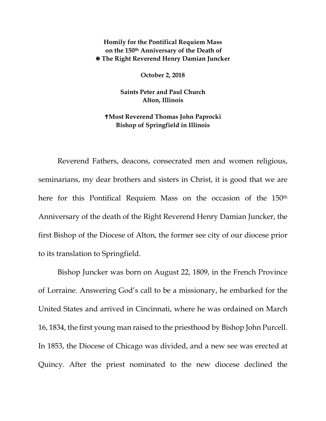**Homily for the Pontifical Requiem Mass on the 150th Anniversary of the Death of The Right Reverend Henry Damian Juncker**

**October 2, 2018**

**Saints Peter and Paul Church Alton, Illinois**

## **Most Reverend Thomas John Paprocki Bishop of Springfield in Illinois**

Reverend Fathers, deacons, consecrated men and women religious, seminarians, my dear brothers and sisters in Christ, it is good that we are here for this Pontifical Requiem Mass on the occasion of the 150th Anniversary of the death of the Right Reverend Henry Damian Juncker, the first Bishop of the Diocese of Alton, the former see city of our diocese prior to its translation to Springfield.

Bishop Juncker was born on August 22, 1809, in the French Province of Lorraine. Answering God's call to be a missionary, he embarked for the United States and arrived in Cincinnati, where he was ordained on March 16, 1834, the first young man raised to the priesthood by Bishop John Purcell. In 1853, the Diocese of Chicago was divided, and a new see was erected at Quincy. After the priest nominated to the new diocese declined the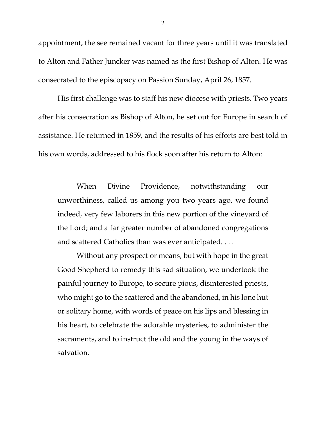appointment, the see remained vacant for three years until it was translated to Alton and Father Juncker was named as the first Bishop of Alton. He was consecrated to the episcopacy on Passion Sunday, April 26, 1857.

His first challenge was to staff his new diocese with priests. Two years after his consecration as Bishop of Alton, he set out for Europe in search of assistance. He returned in 1859, and the results of his efforts are best told in his own words, addressed to his flock soon after his return to Alton:

When Divine Providence, notwithstanding our unworthiness, called us among you two years ago, we found indeed, very few laborers in this new portion of the vineyard of the Lord; and a far greater number of abandoned congregations and scattered Catholics than was ever anticipated. . . .

Without any prospect or means, but with hope in the great Good Shepherd to remedy this sad situation, we undertook the painful journey to Europe, to secure pious, disinterested priests, who might go to the scattered and the abandoned, in his lone hut or solitary home, with words of peace on his lips and blessing in his heart, to celebrate the adorable mysteries, to administer the sacraments, and to instruct the old and the young in the ways of salvation.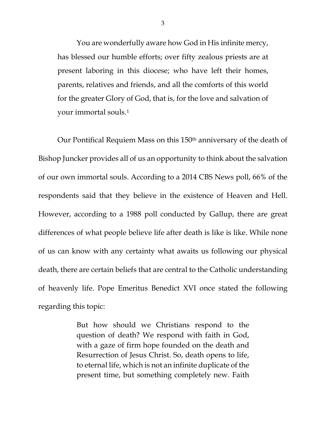You are wonderfully aware how God in His infinite mercy, has blessed our humble efforts; over fifty zealous priests are at present laboring in this diocese; who have left their homes, parents, relatives and friends, and all the comforts of this world for the greater Glory of God, that is, for the love and salvation of your immortal souls.[1](#page-4-0)

Our Pontifical Requiem Mass on this 150th anniversary of the death of Bishop Juncker provides all of us an opportunity to think about the salvation of our own immortal souls. According to a 2014 CBS News poll, 66% of the respondents said that they believe in the existence of Heaven and Hell. However, according to a 1988 poll conducted by Gallup, there are great differences of what people believe life after death is like is like. While none of us can know with any certainty what awaits us following our physical death, there are certain beliefs that are central to the Catholic understanding of heavenly life. Pope Emeritus Benedict XVI once stated the following regarding this topic:

> But how should we Christians respond to the question of death? We respond with faith in God, with a gaze of firm hope founded on the death and Resurrection of Jesus Christ. So, death opens to life, to eternal life, which is not an infinite duplicate of the present time, but something completely new. Faith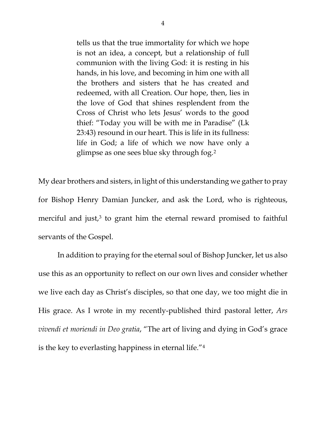tells us that the true immortality for which we hope is not an idea, a concept, but a relationship of full communion with the living God: it is resting in his hands, in his love, and becoming in him one with all the brothers and sisters that he has created and redeemed, with all Creation. Our hope, then, lies in the love of God that shines resplendent from the Cross of Christ who lets Jesus' words to the good thief: "Today you will be with me in Paradise" (Lk 23:43) resound in our heart. This is life in its fullness: life in God; a life of which we now have only a glimpse as one sees blue sky through fog.[2](#page-4-1)

My dear brothers and sisters, in light of this understanding we gather to pray for Bishop Henry Damian Juncker, and ask the Lord, who is righteous, merciful and just, $3$  to grant him the eternal reward promised to faithful servants of the Gospel.

In addition to praying for the eternal soul of Bishop Juncker, let us also use this as an opportunity to reflect on our own lives and consider whether we live each day as Christ's disciples, so that one day, we too might die in His grace. As I wrote in my recently-published third pastoral letter, *Ars vivendi et moriendi in Deo gratia*, "The art of living and dying in God's grace is the key to everlasting happiness in eternal life."[4](#page-4-3)